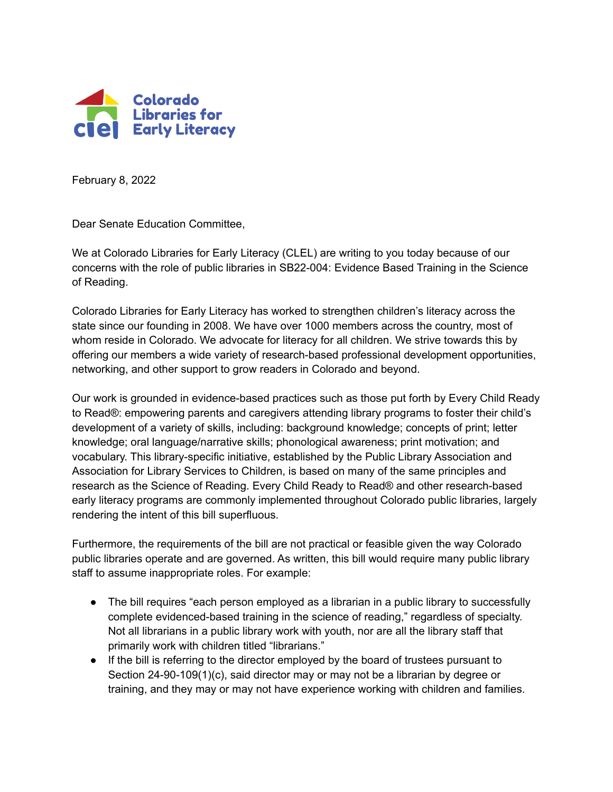

February 8, 2022

Dear Senate Education Committee,

We at Colorado Libraries for Early Literacy (CLEL) are writing to you today because of our concerns with the role of public libraries in SB22-004: Evidence Based Training in the Science of Reading.

Colorado Libraries for Early Literacy has worked to strengthen children's literacy across the state since our founding in 2008. We have over 1000 members across the country, most of whom reside in Colorado. We advocate for literacy for all children. We strive towards this by offering our members a wide variety of research-based professional development opportunities, networking, and other support to grow readers in Colorado and beyond.

Our work is grounded in evidence-based practices such as those put forth by Every Child Ready to Read®: empowering parents and caregivers attending library programs to foster their child's development of a variety of skills, including: background knowledge; concepts of print; letter knowledge; oral language/narrative skills; phonological awareness; print motivation; and vocabulary. This library-specific initiative, established by the Public Library Association and Association for Library Services to Children, is based on many of the same principles and research as the Science of Reading. Every Child Ready to Read® and other research-based early literacy programs are commonly implemented throughout Colorado public libraries, largely rendering the intent of this bill superfluous.

Furthermore, the requirements of the bill are not practical or feasible given the way Colorado public libraries operate and are governed. As written, this bill would require many public library staff to assume inappropriate roles. For example:

- The bill requires "each person employed as a librarian in a public library to successfully complete evidenced-based training in the science of reading," regardless of specialty. Not all librarians in a public library work with youth, nor are all the library staff that primarily work with children titled "librarians."
- If the bill is referring to the director employed by the board of trustees pursuant to Section 24-90-109(1)(c), said director may or may not be a librarian by degree or training, and they may or may not have experience working with children and families.